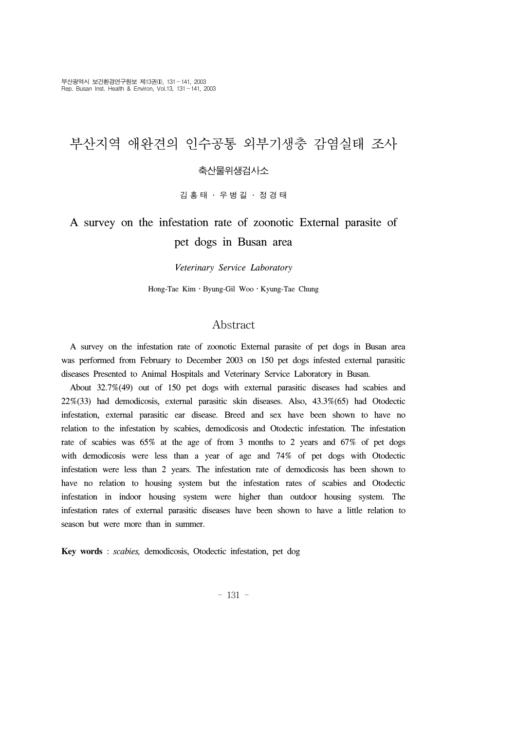# 부산지역 애완견의 인수공통 외부기생충 감염실태 조사 축산물위생검사소

김홍태 ․ 우병길 ․ 정경태

# A survey on the infestation rate of zoonotic External parasite of pet dogs in Busan area

#### *Veterinary Service Laboratory*

Hong-Tae Kim․Byung-Gil Woo․Kyung-Tae Chung

### Abstract

 A survey on the infestation rate of zoonotic External parasite of pet dogs in Busan area was performed from February to December 2003 on 150 pet dogs infested external parasitic diseases Presented to Animal Hospitals and Veterinary Service Laboratory in Busan.

 About 32.7%(49) out of 150 pet dogs with external parasitic diseases had scabies and 22%(33) had demodicosis, external parasitic skin diseases. Also, 43.3%(65) had Otodectic infestation, external parasitic ear disease. Breed and sex have been shown to have no relation to the infestation by scabies, demodicosis and Otodectic infestation. The infestation rate of scabies was 65% at the age of from 3 months to 2 years and 67% of pet dogs with demodicosis were less than a year of age and 74% of pet dogs with Otodectic infestation were less than 2 years. The infestation rate of demodicosis has been shown to have no relation to housing system but the infestation rates of scabies and Otodectic infestation in indoor housing system were higher than outdoor housing system. The infestation rates of external parasitic diseases have been shown to have a little relation to season but were more than in summer.

**Key words** : *scabies,* demodicosis, Otodectic infestation, pet dog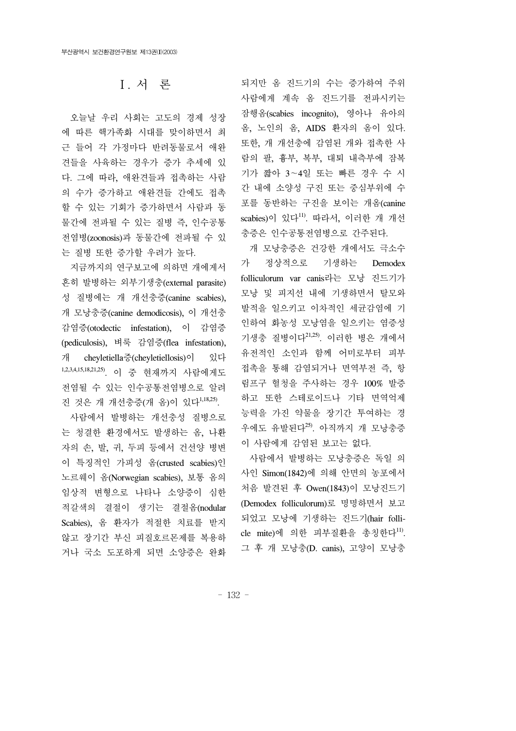# Ⅰ. 서 론

 오늘날 우리 사회는 고도의 경제 성장 에 따른 핵가족화 시대를 맞이하면서 최 근 들어 각 가정마다 반려동물로서 애완 견들을 사육하는 경우가 증가 추세에 있 다. 그에 따라, 애완견들과 접촉하는 사람 의 수가 증가하고 애완견들 간에도 접촉 할 수 있는 기회가 증가하면서 사람과 동 물간에 전파될 수 있는 질병 즉, 인수공통 전염병(zoonosis)과 동물간에 전파될 수 있 는 질병 또한 증가할 우려가 높다.

 지금까지의 연구보고에 의하면 개에게서 흔히 발병하는 외부기생충(external parasite) 성 질병에는 개 개선충증(canine scabies), 개 모낭충증(canine demodicosis), 이 개선충 감염증(otodectic infestation), 이 감염증 (pediculosis), 벼룩 감염증(flea infestation), 개 cheyletiella증(cheyletiellosis)이 있다 1,2,3,4,15,18,21,25). 이 중 현재까지 사람에게도 전염될 수 있는 인수공통전염병으로 알려 진 것은 개 개선충증(개 옴)이 있다<sup>1,18,25)</sup>.

 사람에서 발병하는 개선충성 질병으로 는 청결한 환경에서도 발생하는 옴, 나환 자의 손, 발, 귀, 두피 등에서 건선양 병변 이 특징적인 가피성 옴(crusted scabies)인 노르웨이 옴(Norwegian scabies), 보통 옴의 임상적 변형으로 나타나 소양증이 심한 적갈색의 결절이 생기는 결절옴(nodular Scabies), 옴 환자가 적절한 치료를 받지 않고 장기간 부신 피질호르몬제를 복용하 거나 국소 도포하게 되면 소양증은 완화 되지만 옴 진드기의 수는 증가하여 주위 사람에게 계속 옴 진드기를 전파시키는 잠행옴(scabies incognito), 영아나 유아의 옴, 노인의 옴, AIDS 환자의 옴이 있다. 또한, 개 개선충에 감염된 개와 접촉한 사 람의 팔, 흉부, 복부, 대퇴 내측부에 잠복 기가 짧아 3∼4일 또는 빠른 경우 수 시 간 내에 소양성 구진 또는 중심부위에 수 포를 동반하는 구진을 보이는 개옴(canine scabies)이 있다<sup>11)</sup>. 따라서, 이러한 개 개선 충증은 인수공통전염병으로 간주된다.

 개 모낭충증은 건강한 개에서도 극소수 가 정상적으로 기생하는 Demodex folliculorum var canis라는 모낭 진드기가 모낭 및 피지선 내에 기생하면서 탈모와 발적을 일으키고 이차적인 세균감염에 기 인하여 화농성 모낭염을 일으키는 염증성 기생충 질병이다21,25). 이러한 병은 개에서 유전적인 소인과 함께 어미로부터 피부 접촉을 통해 감염되거나 면역부전 즉, 항 림프구 혈청을 주사하는 경우 100% 발증 하고 또한 스테로이드나 기타 면역억제 능력을 가진 약물을 장기간 투여하는 경 우에도 유발된다25). 아직까지 개 모낭충증 이 사람에게 감염된 보고는 없다.

 사람에서 발병하는 모낭충증은 독일 의 사인 Simon(1842)에 의해 안면의 농포에서 처음 발견된 후 Owen(1843)이 모낭진드기 (Demodex folliculorum)로 명명하면서 보고 되었고 모낭에 기생하는 진드기(hair follicle mite)에 의한 피부질환을 총칭한다<sup>11)</sup>. 그 후 개 모낭충(D. canis), 고양이 모낭충

- 132 -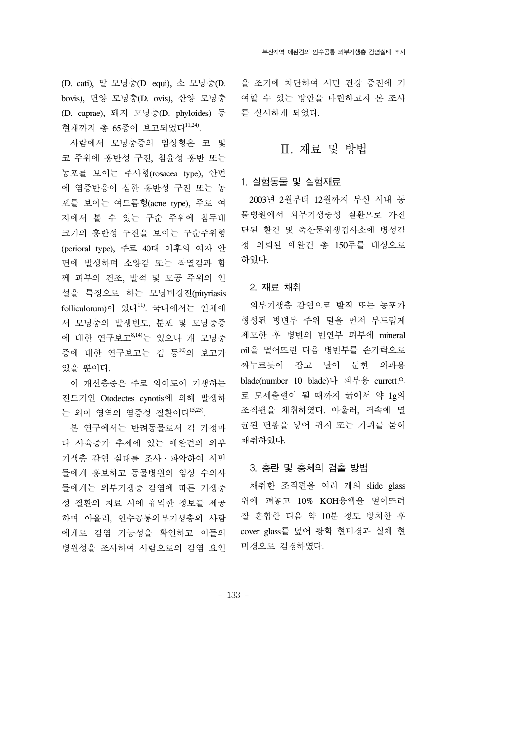(D. cati), 말 모낭충(D. equi), 소 모낭충(D. bovis), 면양 모낭충(D. ovis), 산양 모낭충 (D. caprae), 돼지 모낭충(D. phyloides) 등 현재까지 총 65종이 보고되었다 $^{11,24)}$ .

 사람에서 모낭충증의 임상형은 코 및 코 주위에 홍반성 구진, 침윤성 홍반 또는 농포를 보이는 주사형(rosacea type), 안면 에 염증반응이 심한 홍반성 구진 또는 농 포를 보이는 여드름형(acne type), 주로 여 자에서 볼 수 있는 구순 주위에 침두대 크기의 홍반성 구진을 보이는 구순주위형 (perioral type), 주로 40대 이후의 여자 안 면에 발생하며 소양감 또는 작열감과 함 께 피부의 건조, 발적 및 모공 주위의 인 설을 특징으로 하는 모낭비강진(pityriasis folliculorum)이 있다<sup>11)</sup>. 국내에서는 인체에 서 모낭충의 발생빈도, 분포 및 모낭충증 에 대한 연구보고8,14)는 있으나 개 모낭충 증에 대한 연구보고는 김 등<sup>10)</sup>의 보고가 있을 뿐이다.

 이 개선충증은 주로 외이도에 기생하는 진드기인 Otodectes cynotis에 의해 발생하 는 외이 영역의 염증성 질환이다15,25).

 본 연구에서는 반려동물로서 각 가정마 다 사육증가 추세에 있는 애완견의 외부 기생충 감염 실태를 조사․파악하여 시민 들에게 홍보하고 동물병원의 임상 수의사 들에게는 외부기생충 감염에 따른 기생충 성 질환의 치료 시에 유익한 정보를 제공 하며 아울러, 인수공통외부기생충의 사람 에게로 감염 가능성을 확인하고 이들의 병원성을 조사하여 사람으로의 감염 요인

을 조기에 차단하여 시민 건강 증진에 기 여할 수 있는 방안을 마련하고자 본 조사 를 실시하게 되었다.

## Ⅱ. 재료 및 방법

#### 1. 실험동물 및 실험재료

 2003년 2월부터 12월까지 부산 시내 동 물병원에서 외부기생충성 질환으로 가진 단된 환견 및 축산물위생검사소에 병성감 정 의뢰된 애완견 총 150두를 대상으로 하였다.

#### 2. 재료 채취

 외부기생충 감염으로 발적 또는 농포가 형성된 병변부 주위 털을 먼저 부드럽게 제모한 후 병변의 변연부 피부에 mineral oil을 떨어뜨린 다음 병변부를 손가락으로 짜누르듯이 잡고 날이 둔한 외과용 blade(number 10 blade)나 피부용 currett으 로 모세출혈이 될 때까지 긁어서 약 1g의 조직편을 채취하였다. 아울러, 귀속에 멸 균된 면봉을 넣어 귀지 또는 가피를 묻혀 채취하였다.

#### 3. 충란 및 충체의 검출 방법

 채취한 조직편을 여러 개의 slide glass 위에 펴놓고 10% KOH용액을 떨어뜨려 잘 혼합한 다음 약 10분 정도 방치한 후 cover glass를 덮어 광학 현미경과 실체 현 미경으로 검경하였다.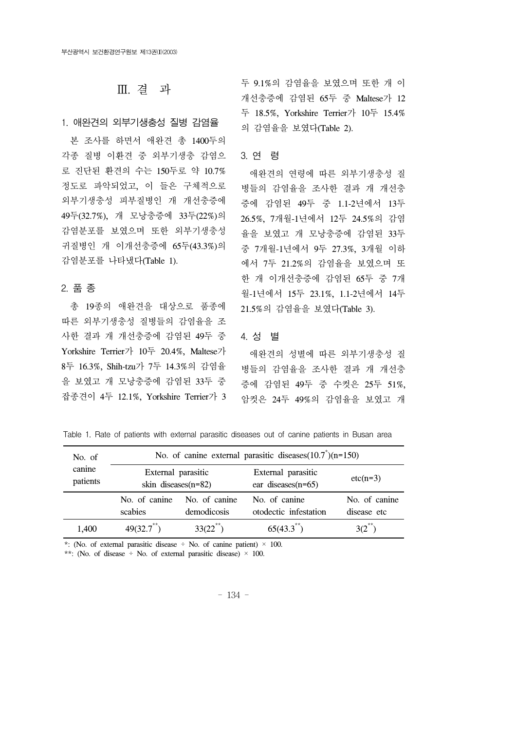### Ⅲ. 결 과

#### 1. 애완견의 외부기생충성 질병 감염율

 본 조사를 하면서 애완견 총 1400두의 각종 질병 이환견 중 외부기생충 감염으 로 진단된 환견의 수는 150두로 약 10.7% 정도로 파악되었고, 이 들은 구체적으로 외부기생충성 피부질병인 개 개선충증에 49두(32.7%), 개 모낭충증에 33두(22%)의 감염분포를 보였으며 또한 외부기생충성 귀질병인 개 이개선충증에 65두(43.3%)의 감염분포를 나타냈다(Table 1).

#### 2. 품 종

 총 19종의 애완견을 대상으로 품종에 따른 외부기생충성 질병들의 감염율을 조 사한 결과 개 개선충증에 감염된 49두 중 Yorkshire Terrier가 10두 20.4%, Maltese가 8두 16.3%, Shih-tzu가 7두 14.3%의 감염율 을 보였고 개 모낭충증에 감염된 33두 중 잡종견이 4두 12.1%, Yorkshire Terrier가 3 두 9.1%의 감염율을 보였으며 또한 개 이 개선충증에 감염된 65두 중 Maltese가 12 두 18.5%, Yorkshire Terrier가 10두 15.4% 의 감염율을 보였다(Table 2).

#### 3. 연 령

 애완견의 연령에 따른 외부기생충성 질 병들의 감염율을 조사한 결과 개 개선충 증에 감염된 49두 중 1.1-2년에서 13두 26.5%, 7개월-1년에서 12두 24.5%의 감염 율을 보였고 개 모낭충증에 감염된 33두 중 7개월-1년에서 9두 27.3%, 3개월 이하 에서 7두 21.2%의 감염율을 보였으며 또 한 개 이개선충증에 감염된 65두 중 7개 월-1년에서 15두 23.1%, 1.1-2년에서 14두 21.5%의 감염율을 보였다(Table 3).

#### 4. 성 별

 애완견의 성별에 따른 외부기생충성 질 병들의 감염율을 조사한 결과 개 개선충 증에 감염된 49두 중 수컷은 25두 51%, 암컷은 24두 49%의 감염율을 보였고 개

| No. of   | No. of canine external parasitic diseases $(10.7)(n=150)$ |               |                       |               |  |  |
|----------|-----------------------------------------------------------|---------------|-----------------------|---------------|--|--|
| canine   | External parasitic                                        |               | External parasitic    | $etc(n=3)$    |  |  |
| patients | skin diseases $(n=82)$                                    |               | ear diseases $(n=65)$ |               |  |  |
|          | No. of canine                                             | No. of canine | No. of canine         | No. of canine |  |  |
|          | scabies                                                   | demodicosis   | otodectic infestation | disease etc   |  |  |
| 1,400    | $49(32.7^{**})$                                           | $33(22^{**})$ | $65(43.3^{**})$       | $3(2^{n})$    |  |  |

Table 1. Rate of patients with external parasitic diseases out of canine patients in Busan area

\*: (No. of external parasitic disease  $\div$  No. of canine patient)  $\times$  100.

\*\*: (No. of disease  $\div$  No. of external parasitic disease)  $\times$  100.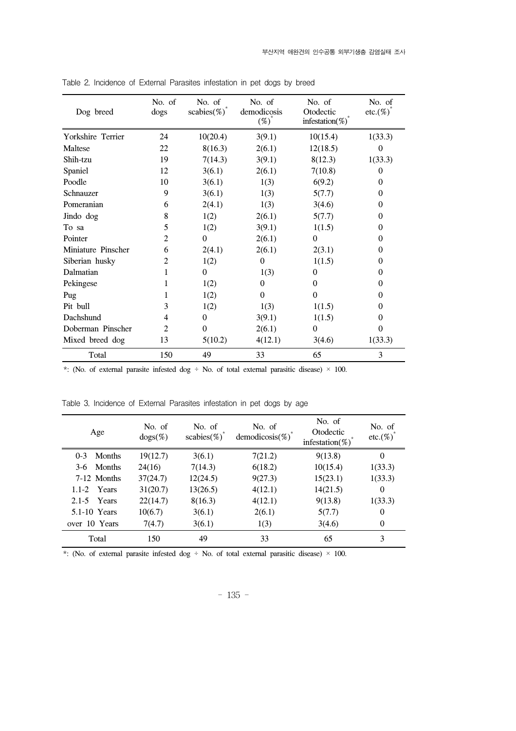| Dog breed          | No. of<br>dogs | No. of<br>scabies $(\%)$ | No. of<br>demodicosis<br>$(\%)^*$ | No. of<br>Otodectic<br>infestation(%) | No. of<br>etc.(%) |
|--------------------|----------------|--------------------------|-----------------------------------|---------------------------------------|-------------------|
| Yorkshire Terrier  | 24             | 10(20.4)                 | 3(9.1)                            | 10(15.4)                              | 1(33.3)           |
| Maltese            | 22             | 8(16.3)                  | 2(6.1)                            | 12(18.5)                              | $\theta$          |
| Shih-tzu           | 19             | 7(14.3)                  | 3(9.1)                            | 8(12.3)                               | 1(33.3)           |
| Spaniel            | 12             | 3(6.1)                   | 2(6.1)                            | 7(10.8)                               | $\theta$          |
| Poodle             | 10             | 3(6.1)                   | 1(3)                              | 6(9.2)                                | 0                 |
| Schnauzer          | 9              | 3(6.1)                   | 1(3)                              | 5(7.7)                                | $\theta$          |
| Pomeranian         | 6              | 2(4.1)                   | 1(3)                              | 3(4.6)                                | $\Omega$          |
| Jindo dog          | 8              | 1(2)                     | 2(6.1)                            | 5(7.7)                                | 0                 |
| To sa              | 5              | 1(2)                     | 3(9.1)                            | 1(1.5)                                | 0                 |
| Pointer            | 2              | $\Omega$                 | 2(6.1)                            | $\Omega$                              | $\Omega$          |
| Miniature Pinscher | 6              | 2(4.1)                   | 2(6.1)                            | 2(3.1)                                | $\theta$          |
| Siberian husky     | 2              | 1(2)                     | $\Omega$                          | 1(1.5)                                | 0                 |
| Dalmatian          | 1              | $\Omega$                 | 1(3)                              | $\theta$                              | 0                 |
| Pekingese          | 1              | 1(2)                     | $\Omega$                          | $\Omega$                              | 0                 |
| Pug                | 1              | 1(2)                     | $\Omega$                          | $\Omega$                              | $\Omega$          |
| Pit bull           | 3              | 1(2)                     | 1(3)                              | 1(1.5)                                | 0                 |
| Dachshund          | 4              | $\theta$                 | 3(9.1)                            | 1(1.5)                                | $\Omega$          |
| Doberman Pinscher  | 2              | $\Omega$                 | 2(6.1)                            | $\mathbf{0}$                          | $\Omega$          |
| Mixed breed dog    | 13             | 5(10.2)                  | 4(12.1)                           | 3(4.6)                                | 1(33.3)           |
| Total              | 150            | 49                       | 33                                | 65                                    | 3                 |

Table 2. Incidence of External Parasites infestation in pet dogs by breed

\*: (No. of external parasite infested dog ÷ No. of total external parasitic disease)  $\times$  100.

Table 3. Incidence of External Parasites infestation in pet dogs by age

| Age               | No. of<br>$\text{dogs}(\%)$ | No. of<br>scabies $(\%)$ | No. of<br>demodicosis(%) | No. of<br>Otodectic<br>infestation(%) | No. of<br>$etc.(%)^{\circ}$ |
|-------------------|-----------------------------|--------------------------|--------------------------|---------------------------------------|-----------------------------|
| Months<br>$0 - 3$ | 19(12.7)                    | 3(6.1)                   | 7(21.2)                  | 9(13.8)                               | $\Omega$                    |
| 3-6 Months        | 24(16)                      | 7(14.3)                  | 6(18.2)                  | 10(15.4)                              | 1(33.3)                     |
| 7-12 Months       | 37(24.7)                    | 12(24.5)                 | 9(27.3)                  | 15(23.1)                              | 1(33.3)                     |
| $1.1-2$ Years     | 31(20.7)                    | 13(26.5)                 | 4(12.1)                  | 14(21.5)                              | 0                           |
| $2.1 - 5$ Years   | 22(14.7)                    | 8(16.3)                  | 4(12.1)                  | 9(13.8)                               | 1(33.3)                     |
| $5.1-10$ Years    | 10(6.7)                     | 3(6.1)                   | 2(6.1)                   | 5(7.7)                                | 0                           |
| over 10 Years     | 7(4.7)                      | 3(6.1)                   | 1(3)                     | 3(4.6)                                | $\Omega$                    |
| Total             | 150                         | 49                       | 33                       | 65                                    | 3                           |

\*: (No. of external parasite infested dog ÷ No. of total external parasitic disease)  $\times$  100.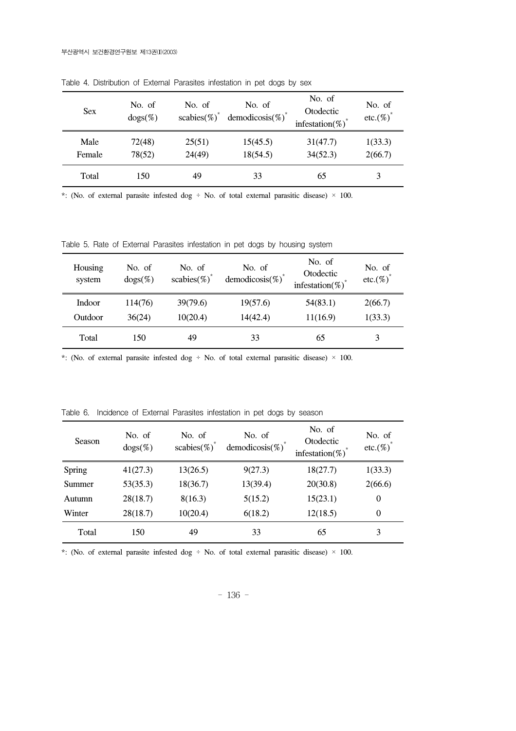| <b>Sex</b> | No. of<br>$\text{dogs}(\%)$ | No. of<br>scabies(%) <sup>*</sup> | No. of<br>demodicosis(%) | No. of<br>Otodectic<br>infestation(%) <sup>*</sup> | No. of<br>etc. $(\%)^*$ |
|------------|-----------------------------|-----------------------------------|--------------------------|----------------------------------------------------|-------------------------|
| Male       | 72(48)                      | 25(51)                            | 15(45.5)                 | 31(47.7)                                           | 1(33.3)                 |
| Female     | 78(52)                      | 24(49)                            | 18(54.5)                 | 34(52.3)                                           | 2(66.7)                 |
| Total      | 150                         | 49                                | 33                       | 65                                                 | 3                       |

Table 4. Distribution of External Parasites infestation in pet dogs by sex

\*: (No. of external parasite infested dog ÷ No. of total external parasitic disease)  $\times$  100.

Table 5. Rate of External Parasites infestation in pet dogs by housing system

| Housing<br>system | No. of<br>$\text{dogs}(\%)$ | No. of<br>scabies(%) <sup>*</sup> | No. of<br>demodicosis(%)* | No. of<br>Otodectic<br>infestation(%) <sup>*</sup> | No. of<br>$etc.(%)^*$ |
|-------------------|-----------------------------|-----------------------------------|---------------------------|----------------------------------------------------|-----------------------|
| Indoor            | 114(76)                     | 39(79.6)                          | 19(57.6)                  | 54(83.1)                                           | 2(66.7)               |
| Outdoor           | 36(24)                      | 10(20.4)                          | 14(42.4)                  | 11(16.9)                                           | 1(33.3)               |
| Total             | 150                         | 49                                | 33                        | 65                                                 |                       |

\*: (No. of external parasite infested dog  $\div$  No. of total external parasitic disease)  $\times$  100.

| Season | No. of<br>$\text{dogs}(\%)$ | No. of<br>scabies(%) | No. of<br>demodicosis(%) | No. of<br>Otodectic<br>infestation(%) | No. of<br>$etc.(%)^*$ |
|--------|-----------------------------|----------------------|--------------------------|---------------------------------------|-----------------------|
| Spring | 41(27.3)                    | 13(26.5)             | 9(27.3)                  | 18(27.7)                              | 1(33.3)               |
| Summer | 53(35.3)                    | 18(36.7)             | 13(39.4)                 | 20(30.8)                              | 2(66.6)               |
| Autumn | 28(18.7)                    | 8(16.3)              | 5(15.2)                  | 15(23.1)                              | $\overline{0}$        |
| Winter | 28(18.7)                    | 10(20.4)             | 6(18.2)                  | 12(18.5)                              | $\overline{0}$        |
| Total  | 150                         | 49                   | 33                       | 65                                    | 3                     |

Table 6. Incidence of External Parasites infestation in pet dogs by season

\*: (No. of external parasite infested dog ÷ No. of total external parasitic disease) × 100.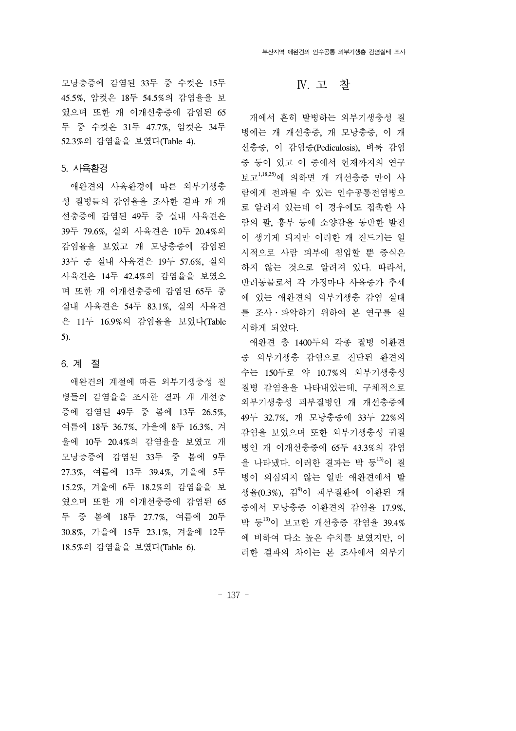모낭충증에 감염된 33두 중 수컷은 15두 45.5%, 암컷은 18두 54.5%의 감염율을 보 였으며 또한 개 이개선충증에 감염된 65 두 중 수컷은 31두 47.7%, 암컷은 34두 52.3%의 감염율을 보였다(Table 4).

#### 5. 사육환경

 애완견의 사육환경에 따른 외부기생충 성 질병들의 감염율을 조사한 결과 개 개 선충증에 감염된 49두 중 실내 사육견은 39두 79.6%, 실외 사육견은 10두 20.4%의 감염율을 보였고 개 모낭충증에 감염된 33두 중 실내 사육견은 19두 57.6%, 실외 사육견은 14두 42.4%의 감염율을 보였으 며 또한 개 이개선충증에 감염된 65두 중 실내 사육견은 54두 83.1%, 실외 사육견 은 11두 16.9%의 감염율을 보였다(Table 5).

#### 6. 계 절

 애완견의 계절에 따른 외부기생충성 질 병들의 감염율을 조사한 결과 개 개선충 증에 감염된 49두 중 봄에 13두 26.5%, 여름에 18두 36.7%, 가을에 8두 16.3%, 겨 울에 10두 20.4%의 감염율을 보였고 개 모낭충증에 감염된 33두 중 봄에 9두 27.3%, 여름에 13두 39.4%, 가을에 5두 15.2%, 겨울에 6두 18.2%의 감염율을 보 였으며 또한 개 이개선충증에 감염된 65 두 중 봄에 18두 27.7%, 여름에 20두 30.8%, 가을에 15두 23.1%, 겨울에 12두 18.5%의 감염율을 보였다(Table 6).

### Ⅳ. 고 찰

 개에서 흔히 발병하는 외부기생충성 질 병에는 개 개선충증, 개 모낭충증, 이 개 선충증, 이 감염증(Pediculosis), 벼룩 감염 증 등이 있고 이 중에서 현재까지의 연구 보고1,18,25)에 의하면 개 개선충증 만이 사 람에게 전파될 수 있는 인수공통전염병으 로 알려져 있는데 이 경우에도 접촉한 사 람의 팔, 흉부 등에 소양감을 동반한 발진 이 생기게 되지만 이러한 개 진드기는 일 시적으로 사람 피부에 침입할 뿐 증식은 하지 않는 것으로 알려져 있다. 따라서, 반려동물로서 각 가정마다 사육증가 추세 에 있는 애완견의 외부기생충 감염 실태 를 조사․파악하기 위하여 본 연구를 실 시하게 되었다.

 애완견 총 1400두의 각종 질병 이환견 중 외부기생충 감염으로 진단된 환견의 수는 150두로 약 10.7%의 외부기생충성 질병 감염율을 나타내었는데, 구체적으로 외부기생충성 피부질병인 개 개선충증에 49두 32.7%, 개 모낭충증에 33두 22%의 감염을 보였으며 또한 외부기생충성 귀질 병인 개 이개선충증에 65두 43.3%의 감염 을 나타냈다. 이러한 결과는 박 등13)이 질 병이 의심되지 않는 일반 애완견에서 발 생율(0.3%), 김 이 피부질환에 이환된 개 중에서 모낭충증 이환견의 감염율 17.9%, 박 등13)이 보고한 개선충증 감염율 39.4% 에 비하여 다소 높은 수치를 보였지만, 이 러한 결과의 차이는 본 조사에서 외부기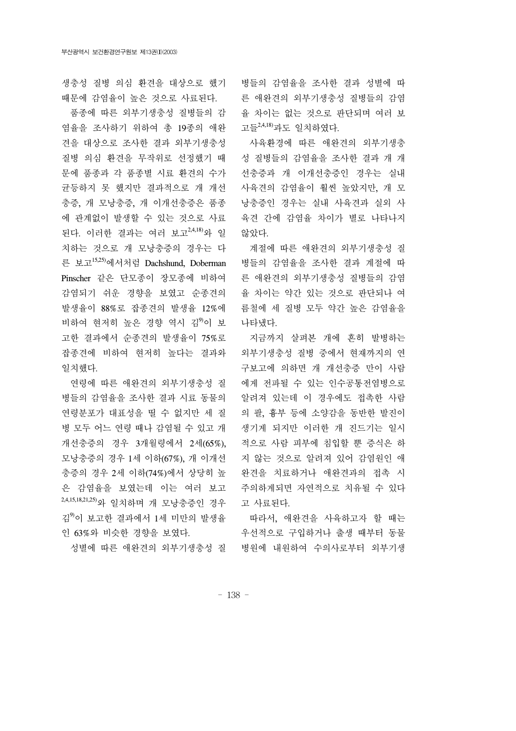때문에 감염율이 높은 것으로 사료된다.

 품종에 따른 외부기생충성 질병들의 감 염율을 조사하기 위하여 총 19종의 애완 견을 대상으로 조사한 결과 외부기생충성 질병 의심 환견을 무작위로 선정했기 때 문에 품종과 각 품종별 시료 환견의 수가 균등하지 못 했지만 결과적으로 개 개선 충증, 개 모낭충증, 개 이개선충증은 품종 에 관계없이 발생할 수 있는 것으로 사료 된다. 이러한 결과는 여러 보고2,4,18)와 일 치하는 것으로 개 모낭충증의 경우는 다 른 보고15,25)에서처럼 Dachshund, Doberman Pinscher 같은 단모종이 장모종에 비하여 감염되기 쉬운 경향을 보였고 순종견의 발생율이 88%로 잡종견의 발생율 12%에 비하여 현저히 높은 경향 역시 김<sup>9)</sup>이 보 고한 결과에서 순종견의 발생율이 75%로 잡종견에 비하여 현저히 높다는 결과와 일치했다.

 연령에 따른 애완견의 외부기생충성 질 병들의 감염율을 조사한 결과 시료 동물의 연령분포가 대표성을 띨 수 없지만 세 질 병 모두 어느 연령 때나 감염될 수 있고 개 개선충증의 경우 3개월령에서 2세(65%), 모낭충증의 경우 1세 이하(67%), 개 이개선 충증의 경우 2세 이하(74%)에서 상당히 높 은 감염율을 보였는데 이는 여러 보고 2,4,15,18,21,25)와 일치하며 개 모낭충증인 경우 김9)이 보고한 결과에서 1세 미만의 발생율 인 63%와 비슷한 경향을 보였다.

생충성 질병 의심 환견을 대상으로 했기 병들의 감염율을 조사한 결과 성별에 따 른 애완견의 외부기생충성 질병들의 감염 율 차이는 없는 것으로 판단되며 여러 보 고들<sup>2,4,18)</sup>과도 일치하였다.

> 사육환경에 따른 애완견의 외부기생충 성 질병들의 감염율을 조사한 결과 개 개 선충증과 개 이개선충증인 경우는 실내 사육견의 감염율이 훨씬 높았지만, 개 모 낭충증인 경우는 실내 사육견과 실외 사 육견 간에 감염율 차이가 별로 나타나지 않았다.

> 계절에 따른 애완견의 외부기생충성 질 병들의 감염율을 조사한 결과 계절에 따 른 애완견의 외부기생충성 질병들의 감염 율 차이는 약간 있는 것으로 판단되나 여 름철에 세 질병 모두 약간 높은 감염율을 나타냈다.

 지금까지 살펴본 개에 흔히 발병하는 외부기생충성 질병 중에서 현재까지의 연 구보고에 의하면 개 개선충증 만이 사람 에게 전파될 수 있는 인수공통전염병으로 알려져 있는데 이 경우에도 접촉한 사람 의 팔, 흉부 등에 소양감을 동반한 발진이 생기게 되지만 이러한 개 진드기는 일시 적으로 사람 피부에 침입할 뿐 증식은 하 지 않는 것으로 알려져 있어 감염원인 애 완견을 치료하거나 애완견과의 접촉 시 주의하게되면 자연적으로 치유될 수 있다 고 사료된다.

 성별에 따른 애완견의 외부기생충성 질 병원에 내원하여 수의사로부터 외부기생 따라서, 애완견을 사육하고자 할 때는 우선적으로 구입하거나 출생 때부터 동물

- 138 -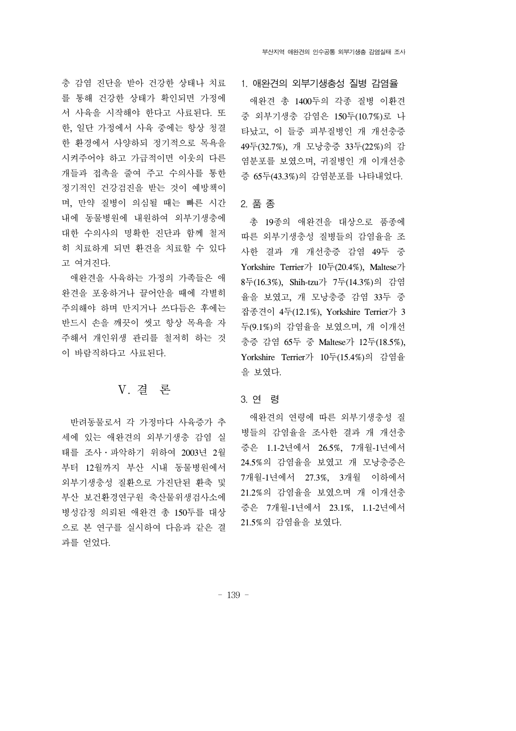충 감염 진단을 받아 건강한 상태나 치료 를 통해 건강한 상태가 확인되면 가정에 서 사육을 시작해야 한다고 사료된다. 또 한, 일단 가정에서 사육 중에는 항상 청결 한 환경에서 사양하되 정기적으로 목욕을 시켜주어야 하고 가급적이면 이웃의 다른 개들과 접촉을 줄여 주고 수의사를 통한 정기적인 건강검진을 받는 것이 예방책이 며, 만약 질병이 의심될 때는 빠른 시간 내에 동물병원에 내원하여 외부기생충에 대한 수의사의 명확한 진단과 함께 철저 히 치료하게 되면 환견을 치료할 수 있다 고 여겨진다.

 애완견을 사육하는 가정의 가족들은 애 완견을 포옹하거나 끌어안을 때에 각별히 주의해야 하며 만지거나 쓰다듬은 후에는 반드시 손을 깨끗이 씻고 항상 목욕을 자 주해서 개인위생 관리를 철저히 하는 것 이 바람직하다고 사료된다.

# Ⅴ. 결 론

 반려동물로서 각 가정마다 사육증가 추 세에 있는 애완견의 외부기생충 감염 실 태를 조사․파악하기 위하여 2003년 2월 부터 12월까지 부산 시내 동물병원에서 외부기생충성 질환으로 가진단된 환축 및 부산 보건환경연구원 축산물위생검사소에 병성감정 의뢰된 애완견 총 150두를 대상 으로 본 연구를 실시하여 다음과 같은 결 과를 얻었다.

#### 1. 애완견의 외부기생충성 질병 감염율

 애완견 총 1400두의 각종 질병 이환견 중 외부기생충 감염은 150두(10.7%)로 나 타났고, 이 들중 피부질병인 개 개선충증 49두(32.7%), 개 모낭충증 33두(22%)의 감 염분포를 보였으며, 귀질병인 개 이개선충 증 65두(43.3%)의 감염분포를 나타내었다.

#### 2. 품 종

 총 19종의 애완견을 대상으로 품종에 따른 외부기생충성 질병들의 감염율을 조 사한 결과 개 개선충증 감염 49두 중 Yorkshire Terrier가 10두(20.4%), Maltese가 8두(16.3%), Shih-tzu가 7두(14.3%)의 감염 율을 보였고, 개 모낭충증 감염 33두 중 잡종견이 4두(12.1%), Yorkshire Terrier가 3 두(9.1%)의 감염율을 보였으며, 개 이개선 충증 감염 65두 중 Maltese가 12두(18.5%), Yorkshire Terrier가 10두(15.4%)의 감염율 을 보였다.

#### 3. 연 령

 애완견의 연령에 따른 외부기생충성 질 병들의 감염율을 조사한 결과 개 개선충 증은 1.1-2년에서 26.5%, 7개월-1년에서 24.5%의 감염율을 보였고 개 모낭충증은 7개월-1년에서 27.3%, 3개월 이하에서 21.2%의 감염율을 보였으며 개 이개선충 증은 7개월-1년에서 23.1%, 1.1-2년에서 21.5%의 감염율을 보였다.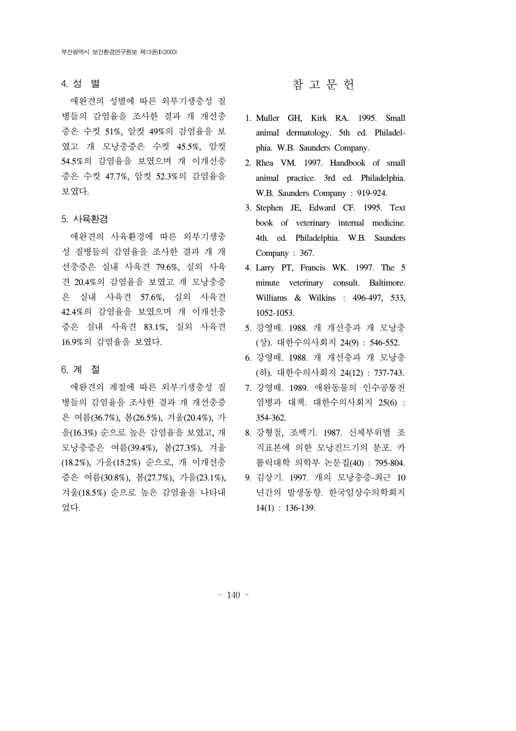#### 4. 성 별

 애완견의 성별에 따른 외부기생충성 질 병들의 감염율을 조사한 결과 개 개선충 증은 수컷 51%, 암컷 49%의 감염율을 보 였고 개 모낭충증은 수컷 45.5%, 암컷 54.5%의 감염율을 보였으며 개 이개선충 증은 수컷 47.7%, 암컷 52.3%의 감염율을 보였다.

#### 5. 사육환경

 애완견의 사육환경에 따른 외부기생충 성 질병들의 감염율을 조사한 결과 개 개 선충증은 실내 사육견 79.6%, 실외 사육 견 20.4%의 감염율을 보였고 개 모낭충증 은 실내 사육견 57.6%, 실외 사육견 42.4%의 감염율을 보였으며 개 이개선충 증은 실내 사육견 83.1%, 실외 사육견 16.9%의 감염율을 보였다.

#### 6. 계 절

 애완견의 계절에 따른 외부기생충성 질 병들의 감염율을 조사한 결과 개 개선충증 은 여름(36.7%), 봄(26.5%), 겨울(20.4%), 가 을(16.3%) 순으로 높은 감염율을 보였고, 개 모낭충증은 여름(39.4%), 봄(27.3%), 겨울 (18.2%), 가을(15.2%) 순으로, 개 이개선충 증은 여름(30.8%), 봄(27.7%), 가을(23.1%), 겨울(18.5%) 순으로 높은 감염율을 나타내 었다.

# 참 고 문 헌

- 1. Muller GH, Kirk RA. 1995. Small animal dermatology. 5th ed. Philadelphia. W.B. Saunders Company.
- 2. Rhea VM. 1997. Handbook of small animal practice. 3rd ed. Philadelphia. W.B. Saunders Company : 919-924.
- 3. Stephen JE, Edward CF. 1995. Text book of veterinary internal medicine. 4th. ed. Philadelphia. W.B. Saunders Company : 367.
- 4. Larry PT, Francis WK. 1997. The 5 minute veterinary consult. Baltimore. Williams & Wilkins : 496-497, 533, 1052-1053.
- 5. 강영배. 1988. 개 개선충과 개 모낭충 (상). 대한수의사회지 24(9) : 546-552.
- 6. 강영배. 1988. 개 개선충과 개 모낭충 (하). 대한수의사회지 24(12) : 737-743.
- 7. 강영배. 1989. 애완동물의 인수공통전 염병과 대책. 대한수의사회지 25(6) : 354-362.
- 8. 강형철, 조백기. 1987. 신체부위별 조 직표본에 의한 모낭진드기의 분포. 카 톨릭대학 의학부 논문집(40) : 795-804.
- 9. 김상기. 1997. 개의 모낭충증-최근 10 년간의 발생동향. 한국임상수의학회지 14(1) : 136-139.